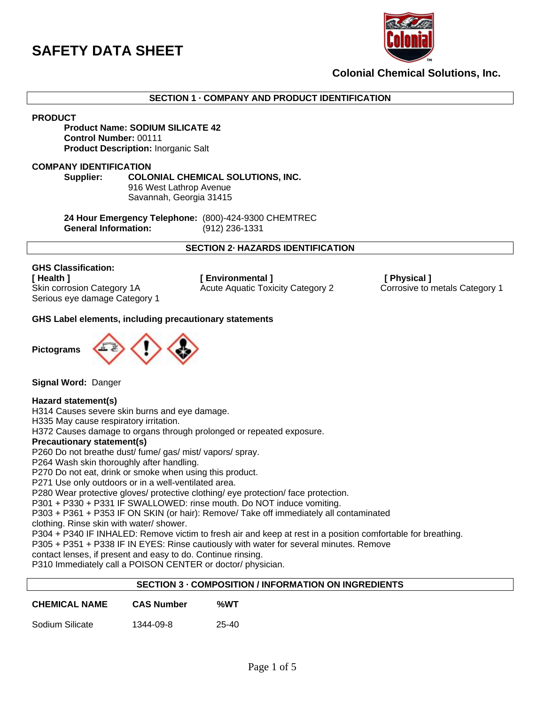

**Colonial Chemical Solutions, Inc.**

**SECTION 1 · COMPANY AND PRODUCT IDENTIFICATION**

**PRODUCT**

#### **Product Name: SODIUM SILICATE 42 Control Number:** 00111 **Product Description:** Inorganic Salt

### **COMPANY IDENTIFICATION**

**Supplier: COLONIAL CHEMICAL SOLUTIONS, INC.**  916 West Lathrop Avenue Savannah, Georgia 31415

**24 Hour Emergency Telephone:** (800)-424-9300 CHEMTREC **General Information:** (912) 236-1331

**SECTION 2· HAZARDS IDENTIFICATION**

**GHS Classification:** Serious eye damage Category 1

**[ Health ] [ Environmental ] [ Physical ]**  Skin corrosion Category 1A **Acute Aquatic Toxicity Category 2** Corrosive to metals Category 1

### **GHS Label elements, including precautionary statements**



**Signal Word:** Danger

#### **Hazard statement(s)**

H314 Causes severe skin burns and eye damage.

H335 May cause respiratory irritation.

H372 Causes damage to organs through prolonged or repeated exposure.

#### **Precautionary statement(s)**

P260 Do not breathe dust/ fume/ gas/ mist/ vapors/ spray.

P264 Wash skin thoroughly after handling.

P270 Do not eat, drink or smoke when using this product.

P271 Use only outdoors or in a well-ventilated area.

P280 Wear protective gloves/ protective clothing/ eye protection/ face protection.

P301 + P330 + P331 IF SWALLOWED: rinse mouth. Do NOT induce vomiting.

P303 + P361 + P353 IF ON SKIN (or hair): Remove/ Take off immediately all contaminated

clothing. Rinse skin with water/ shower.

P304 + P340 IF INHALED: Remove victim to fresh air and keep at rest in a position comfortable for breathing.

P305 + P351 + P338 IF IN EYES: Rinse cautiously with water for several minutes. Remove

contact lenses, if present and easy to do. Continue rinsing.

P310 Immediately call a POISON CENTER or doctor/ physician.

# **SECTION 3 · COMPOSITION / INFORMATION ON INGREDIENTS**

| <b>CHEMICAL NAME</b> | <b>CAS Number</b> | %WT   |
|----------------------|-------------------|-------|
| Sodium Silicate      | 1344-09-8         | 25-40 |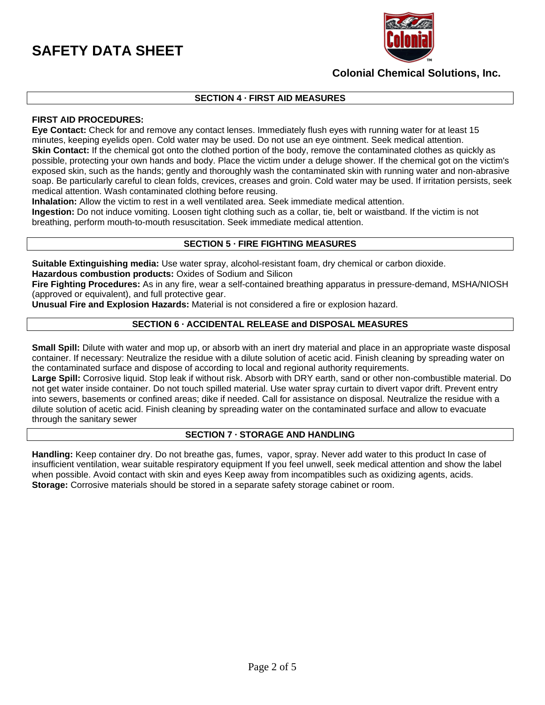

# **Colonial Chemical Solutions, Inc.**

# **SECTION 4 · FIRST AID MEASURES**

# **FIRST AID PROCEDURES:**

**Eye Contact:** Check for and remove any contact lenses. Immediately flush eyes with running water for at least 15 minutes, keeping eyelids open. Cold water may be used. Do not use an eye ointment. Seek medical attention. **Skin Contact:** If the chemical got onto the clothed portion of the body, remove the contaminated clothes as quickly as possible, protecting your own hands and body. Place the victim under a deluge shower. If the chemical got on the victim's exposed skin, such as the hands; gently and thoroughly wash the contaminated skin with running water and non-abrasive soap. Be particularly careful to clean folds, crevices, creases and groin. Cold water may be used. If irritation persists, seek medical attention. Wash contaminated clothing before reusing.

**Inhalation:** Allow the victim to rest in a well ventilated area. Seek immediate medical attention.

**Ingestion:** Do not induce vomiting. Loosen tight clothing such as a collar, tie, belt or waistband. If the victim is not breathing, perform mouth-to-mouth resuscitation. Seek immediate medical attention.

#### **SECTION 5 · FIRE FIGHTING MEASURES**

**Suitable Extinguishing media:** Use water spray, alcohol-resistant foam, dry chemical or carbon dioxide.

**Hazardous combustion products:** Oxides of Sodium and Silicon

**Fire Fighting Procedures:** As in any fire, wear a self-contained breathing apparatus in pressure-demand, MSHA/NIOSH (approved or equivalent), and full protective gear.

**Unusual Fire and Explosion Hazards:** Material is not considered a fire or explosion hazard.

# **SECTION 6 · ACCIDENTAL RELEASE and DISPOSAL MEASURES**

**Small Spill:** Dilute with water and mop up, or absorb with an inert dry material and place in an appropriate waste disposal container. If necessary: Neutralize the residue with a dilute solution of acetic acid. Finish cleaning by spreading water on the contaminated surface and dispose of according to local and regional authority requirements.

**Large Spill:** Corrosive liquid. Stop leak if without risk. Absorb with DRY earth, sand or other non-combustible material. Do not get water inside container. Do not touch spilled material. Use water spray curtain to divert vapor drift. Prevent entry into sewers, basements or confined areas; dike if needed. Call for assistance on disposal. Neutralize the residue with a dilute solution of acetic acid. Finish cleaning by spreading water on the contaminated surface and allow to evacuate through the sanitary sewer

#### **SECTION 7 · STORAGE AND HANDLING**

**Handling:** Keep container dry. Do not breathe gas, fumes, vapor, spray. Never add water to this product In case of insufficient ventilation, wear suitable respiratory equipment If you feel unwell, seek medical attention and show the label when possible. Avoid contact with skin and eyes Keep away from incompatibles such as oxidizing agents, acids. **Storage:** Corrosive materials should be stored in a separate safety storage cabinet or room.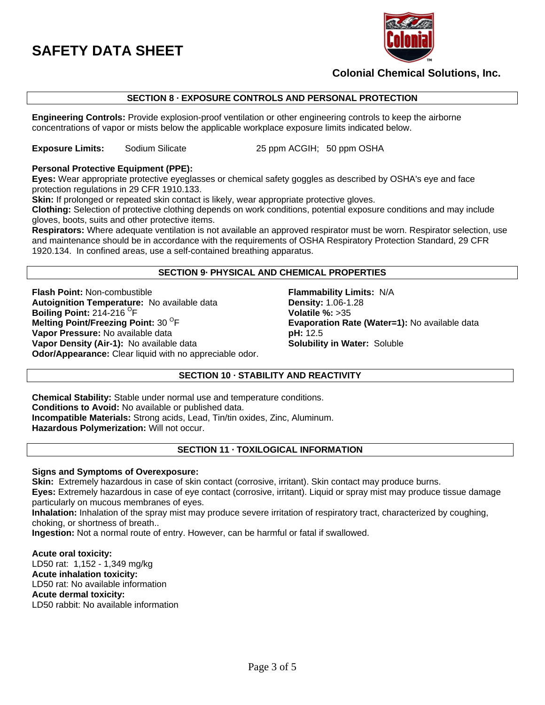

# **Colonial Chemical Solutions, Inc.**

# **SECTION 8 · EXPOSURE CONTROLS AND PERSONAL PROTECTION**

**Engineering Controls:** Provide explosion-proof ventilation or other engineering controls to keep the airborne concentrations of vapor or mists below the applicable workplace exposure limits indicated below.

**Exposure Limits:** Sodium Silicate 25 ppm ACGIH; 50 ppm OSHA

# **Personal Protective Equipment (PPE):**

**Eyes:** Wear appropriate protective eyeglasses or chemical safety goggles as described by OSHA's eye and face protection regulations in 29 CFR 1910.133.

**Skin:** If prolonged or repeated skin contact is likely, wear appropriate protective gloves.

**Clothing:** Selection of protective clothing depends on work conditions, potential exposure conditions and may include gloves, boots, suits and other protective items.

**Respirators:** Where adequate ventilation is not available an approved respirator must be worn. Respirator selection, use and maintenance should be in accordance with the requirements of OSHA Respiratory Protection Standard, 29 CFR 1920.134. In confined areas, use a self-contained breathing apparatus.

#### **SECTION 9· PHYSICAL AND CHEMICAL PROPERTIES**

**Flash Point:** Non-combustible **Flammability Limits:** N/A **Autoignition Temperature:** No available data **Density:** 1.06-1.28 **Boiling Point: 214-216 <sup>O</sup>F Melting Point/Freezing Point: 30 <sup>O</sup>F Vapor Pressure:** No available data **pH:** 12.5 **Vapor Density (Air-1):** No available data **Solubility in Water:** Soluble **Odor/Appearance:** Clear liquid with no appreciable odor.

**Volatile %: >35 Evaporation Rate (Water=1): No available data** 

# **SECTION 10 · STABILITY AND REACTIVITY**

**Chemical Stability:** Stable under normal use and temperature conditions. **Conditions to Avoid:** No available or published data. **Incompatible Materials:** Strong acids, Lead, Tin/tin oxides, Zinc, Aluminum. **Hazardous Polymerization:** Will not occur.

# **SECTION 11 · TOXILOGICAL INFORMATION**

#### **Signs and Symptoms of Overexposure:**

**Skin:** Extremely hazardous in case of skin contact (corrosive, irritant). Skin contact may produce burns. **Eyes:** Extremely hazardous in case of eye contact (corrosive, irritant). Liquid or spray mist may produce tissue damage particularly on mucous membranes of eyes.

**Inhalation:** Inhalation of the spray mist may produce severe irritation of respiratory tract, characterized by coughing, choking, or shortness of breath..

**Ingestion:** Not a normal route of entry. However, can be harmful or fatal if swallowed.

**Acute oral toxicity:** LD50 rat: 1,152 - 1,349 mg/kg **Acute inhalation toxicity:** LD50 rat: No available information **Acute dermal toxicity:** LD50 rabbit: No available information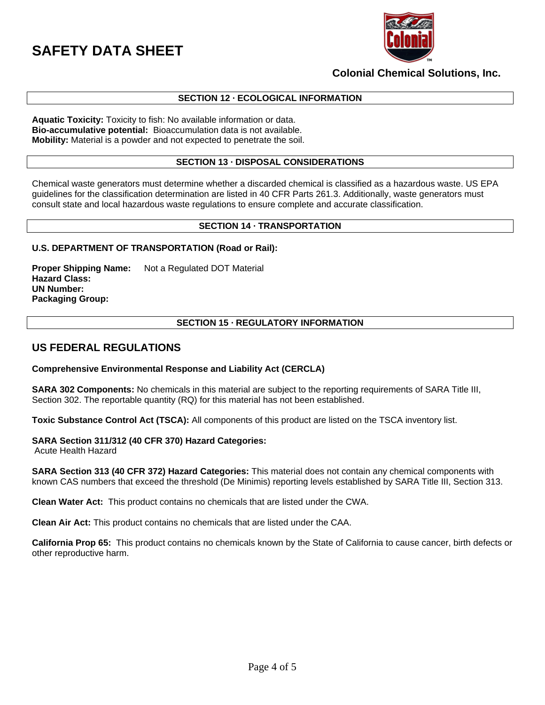

# **Colonial Chemical Solutions, Inc.**

### **SECTION 12 · ECOLOGICAL INFORMATION**

**Aquatic Toxicity:** Toxicity to fish: No available information or data. **Bio-accumulative potential:** Bioaccumulation data is not available. **Mobility:** Material is a powder and not expected to penetrate the soil.

### **SECTION 13 · DISPOSAL CONSIDERATIONS**

Chemical waste generators must determine whether a discarded chemical is classified as a hazardous waste. US EPA guidelines for the classification determination are listed in 40 CFR Parts 261.3. Additionally, waste generators must consult state and local hazardous waste regulations to ensure complete and accurate classification.

# **SECTION 14 · TRANSPORTATION**

### **U.S. DEPARTMENT OF TRANSPORTATION (Road or Rail):**

**Proper Shipping Name:** Not a Regulated DOT Material **Hazard Class: UN Number: Packaging Group:**

# **SECTION 15 · REGULATORY INFORMATION**

# **US FEDERAL REGULATIONS**

#### **Comprehensive Environmental Response and Liability Act (CERCLA)**

**SARA 302 Components:** No chemicals in this material are subject to the reporting requirements of SARA Title III, Section 302. The reportable quantity (RQ) for this material has not been established.

**Toxic Substance Control Act (TSCA):** All components of this product are listed on the TSCA inventory list.

#### **SARA Section 311/312 (40 CFR 370) Hazard Categories:**

Acute Health Hazard

**SARA Section 313 (40 CFR 372) Hazard Categories:** This material does not contain any chemical components with known CAS numbers that exceed the threshold (De Minimis) reporting levels established by SARA Title III, Section 313.

**Clean Water Act:** This product contains no chemicals that are listed under the CWA.

**Clean Air Act:** This product contains no chemicals that are listed under the CAA.

**California Prop 65:** This product contains no chemicals known by the State of California to cause cancer, birth defects or other reproductive harm.